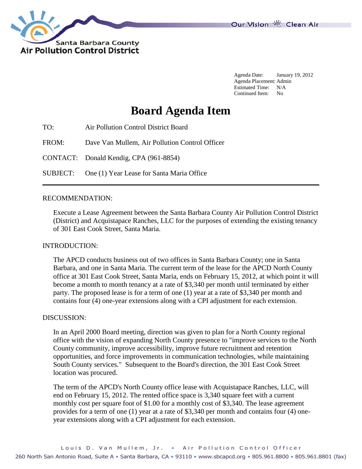

Agenda Date: January 19, 2012 Agenda Placement: Admin Estimated Time: N/A Continued Item: No

# **Board Agenda Item**

TO: Air Pollution Control District Board

FROM: Dave Van Mullem, Air Pollution Control Officer

CONTACT: Donald Kendig, CPA (961-8854)

SUBJECT: One (1) Year Lease for Santa Maria Office

### RECOMMENDATION:

Execute a Lease Agreement between the Santa Barbara County Air Pollution Control District (District) and Acquistapace Ranches, LLC for the purposes of extending the existing tenancy of 301 East Cook Street, Santa Maria.

### INTRODUCTION:

The APCD conducts business out of two offices in Santa Barbara County; one in Santa Barbara, and one in Santa Maria. The current term of the lease for the APCD North County office at 301 East Cook Street, Santa Maria, ends on February 15, 2012, at which point it will become a month to month tenancy at a rate of \$3,340 per month until terminated by either party. The proposed lease is for a term of one (1) year at a rate of \$3,340 per month and contains four (4) one-year extensions along with a CPI adjustment for each extension.

### DISCUSSION:

In an April 2000 Board meeting, direction was given to plan for a North County regional office with the vision of expanding North County presence to "improve services to the North County community, improve accessibility, improve future recruitment and retention opportunities, and force improvements in communication technologies, while maintaining South County services." Subsequent to the Board's direction, the 301 East Cook Street location was procured.

The term of the APCD's North County office lease with Acquistapace Ranches, LLC, will end on February 15, 2012. The rented office space is 3,340 square feet with a current monthly cost per square foot of \$1.00 for a monthly cost of \$3,340. The lease agreement provides for a term of one (1) year at a rate of \$3,340 per month and contains four (4) oneyear extensions along with a CPI adjustment for each extension.